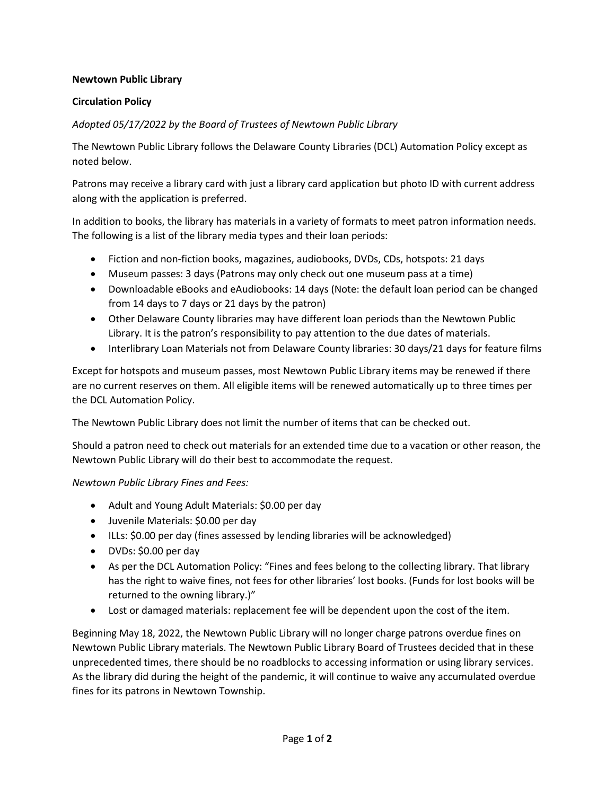## **Newtown Public Library**

## **Circulation Policy**

*Adopted 05/17/2022 by the Board of Trustees of Newtown Public Library*

The Newtown Public Library follows the Delaware County Libraries (DCL) Automation Policy except as noted below.

Patrons may receive a library card with just a library card application but photo ID with current address along with the application is preferred.

In addition to books, the library has materials in a variety of formats to meet patron information needs. The following is a list of the library media types and their loan periods:

- Fiction and non-fiction books, magazines, audiobooks, DVDs, CDs, hotspots: 21 days
- Museum passes: 3 days (Patrons may only check out one museum pass at a time)
- Downloadable eBooks and eAudiobooks: 14 days (Note: the default loan period can be changed from 14 days to 7 days or 21 days by the patron)
- Other Delaware County libraries may have different loan periods than the Newtown Public Library. It is the patron's responsibility to pay attention to the due dates of materials.
- Interlibrary Loan Materials not from Delaware County libraries: 30 days/21 days for feature films

Except for hotspots and museum passes, most Newtown Public Library items may be renewed if there are no current reserves on them. All eligible items will be renewed automatically up to three times per the DCL Automation Policy.

The Newtown Public Library does not limit the number of items that can be checked out.

Should a patron need to check out materials for an extended time due to a vacation or other reason, the Newtown Public Library will do their best to accommodate the request.

*Newtown Public Library Fines and Fees:*

- Adult and Young Adult Materials: \$0.00 per day
- Juvenile Materials: \$0.00 per day
- ILLs: \$0.00 per day (fines assessed by lending libraries will be acknowledged)
- DVDs: \$0.00 per day
- As per the DCL Automation Policy: "Fines and fees belong to the collecting library. That library has the right to waive fines, not fees for other libraries' lost books. (Funds for lost books will be returned to the owning library.)"
- Lost or damaged materials: replacement fee will be dependent upon the cost of the item.

Beginning May 18, 2022, the Newtown Public Library will no longer charge patrons overdue fines on Newtown Public Library materials. The Newtown Public Library Board of Trustees decided that in these unprecedented times, there should be no roadblocks to accessing information or using library services. As the library did during the height of the pandemic, it will continue to waive any accumulated overdue fines for its patrons in Newtown Township.